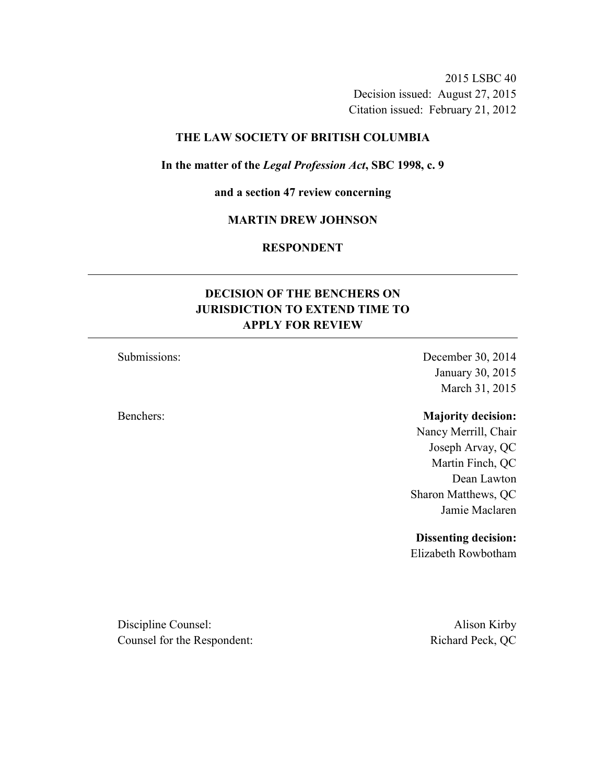2015 LSBC 40 Decision issued: August 27, 2015 Citation issued: February 21, 2012

### **THE LAW SOCIETY OF BRITISH COLUMBIA**

### **In the matter of the** *Legal Profession Act***, SBC 1998, c. 9**

**and a section 47 review concerning** 

### **MARTIN DREW JOHNSON**

### **RESPONDENT**

## **DECISION OF THE BENCHERS ON JURISDICTION TO EXTEND TIME TO APPLY FOR REVIEW**

## Submissions: December 30, 2014 January 30, 2015 March 31, 2015

### Benchers: **Majority decision:**

Nancy Merrill, Chair Joseph Arvay, QC Martin Finch, QC Dean Lawton Sharon Matthews, QC Jamie Maclaren

### **Dissenting decision:**

Elizabeth Rowbotham

Discipline Counsel: Alison Kirby Counsel for the Respondent: Richard Peck, QC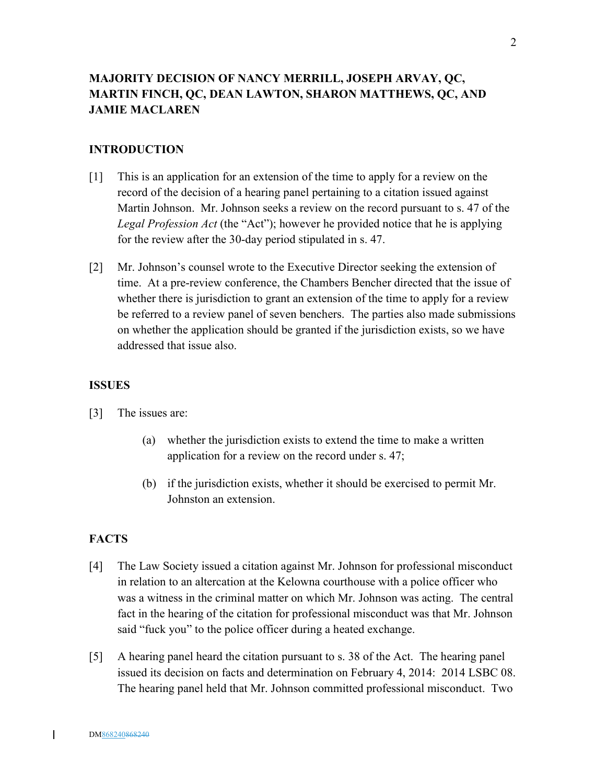## **MAJORITY DECISION OF NANCY MERRILL, JOSEPH ARVAY, QC, MARTIN FINCH, QC, DEAN LAWTON, SHARON MATTHEWS, QC, AND JAMIE MACLAREN**

### **INTRODUCTION**

- [1] This is an application for an extension of the time to apply for a review on the record of the decision of a hearing panel pertaining to a citation issued against Martin Johnson. Mr. Johnson seeks a review on the record pursuant to s. 47 of the *Legal Profession Act* (the "Act"); however he provided notice that he is applying for the review after the 30-day period stipulated in s. 47.
- [2] Mr. Johnson's counsel wrote to the Executive Director seeking the extension of time. At a pre-review conference, the Chambers Bencher directed that the issue of whether there is jurisdiction to grant an extension of the time to apply for a review be referred to a review panel of seven benchers. The parties also made submissions on whether the application should be granted if the jurisdiction exists, so we have addressed that issue also.

#### **ISSUES**

- [3] The issues are:
	- (a) whether the jurisdiction exists to extend the time to make a written application for a review on the record under s. 47;
	- (b) if the jurisdiction exists, whether it should be exercised to permit Mr. Johnston an extension.

#### **FACTS**

- [4] The Law Society issued a citation against Mr. Johnson for professional misconduct in relation to an altercation at the Kelowna courthouse with a police officer who was a witness in the criminal matter on which Mr. Johnson was acting. The central fact in the hearing of the citation for professional misconduct was that Mr. Johnson said "fuck you" to the police officer during a heated exchange.
- [5] A hearing panel heard the citation pursuant to s. 38 of the Act. The hearing panel issued its decision on facts and determination on February 4, 2014: 2014 LSBC 08. The hearing panel held that Mr. Johnson committed professional misconduct. Two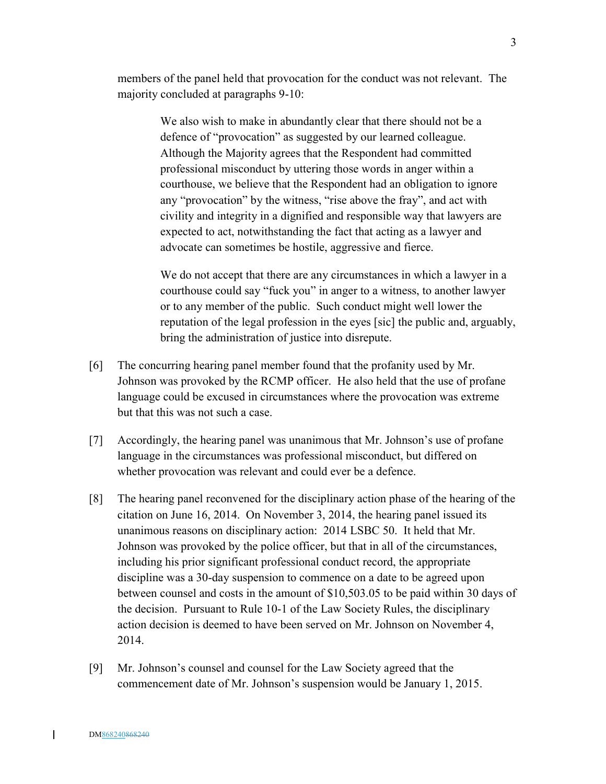members of the panel held that provocation for the conduct was not relevant. The majority concluded at paragraphs 9-10:

> We also wish to make in abundantly clear that there should not be a defence of "provocation" as suggested by our learned colleague. Although the Majority agrees that the Respondent had committed professional misconduct by uttering those words in anger within a courthouse, we believe that the Respondent had an obligation to ignore any "provocation" by the witness, "rise above the fray", and act with civility and integrity in a dignified and responsible way that lawyers are expected to act, notwithstanding the fact that acting as a lawyer and advocate can sometimes be hostile, aggressive and fierce.

 We do not accept that there are any circumstances in which a lawyer in a courthouse could say "fuck you" in anger to a witness, to another lawyer or to any member of the public. Such conduct might well lower the reputation of the legal profession in the eyes [sic] the public and, arguably, bring the administration of justice into disrepute.

- [6] The concurring hearing panel member found that the profanity used by Mr. Johnson was provoked by the RCMP officer. He also held that the use of profane language could be excused in circumstances where the provocation was extreme but that this was not such a case.
- [7] Accordingly, the hearing panel was unanimous that Mr. Johnson's use of profane language in the circumstances was professional misconduct, but differed on whether provocation was relevant and could ever be a defence.
- [8] The hearing panel reconvened for the disciplinary action phase of the hearing of the citation on June 16, 2014. On November 3, 2014, the hearing panel issued its unanimous reasons on disciplinary action: 2014 LSBC 50. It held that Mr. Johnson was provoked by the police officer, but that in all of the circumstances, including his prior significant professional conduct record, the appropriate discipline was a 30-day suspension to commence on a date to be agreed upon between counsel and costs in the amount of \$10,503.05 to be paid within 30 days of the decision. Pursuant to Rule 10-1 of the Law Society Rules, the disciplinary action decision is deemed to have been served on Mr. Johnson on November 4, 2014.
- [9] Mr. Johnson's counsel and counsel for the Law Society agreed that the commencement date of Mr. Johnson's suspension would be January 1, 2015.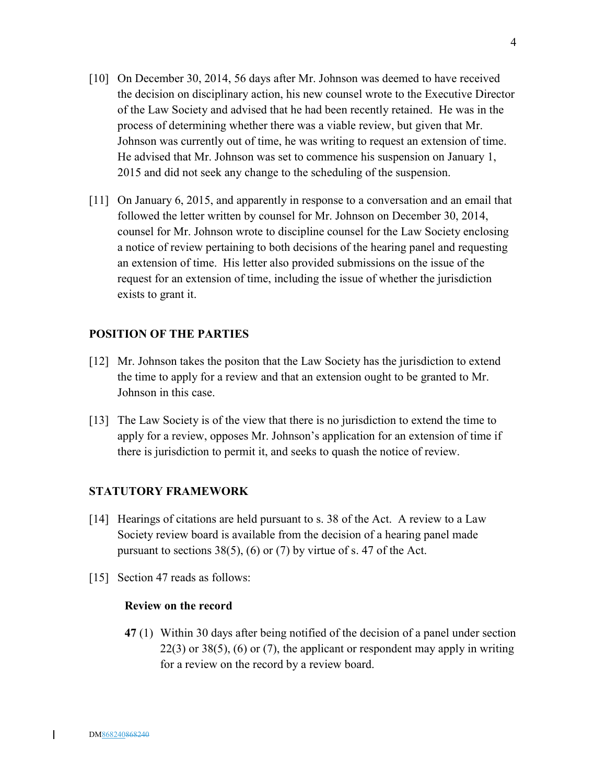- [10] On December 30, 2014, 56 days after Mr. Johnson was deemed to have received the decision on disciplinary action, his new counsel wrote to the Executive Director of the Law Society and advised that he had been recently retained. He was in the process of determining whether there was a viable review, but given that Mr. Johnson was currently out of time, he was writing to request an extension of time. He advised that Mr. Johnson was set to commence his suspension on January 1, 2015 and did not seek any change to the scheduling of the suspension.
- [11] On January 6, 2015, and apparently in response to a conversation and an email that followed the letter written by counsel for Mr. Johnson on December 30, 2014, counsel for Mr. Johnson wrote to discipline counsel for the Law Society enclosing a notice of review pertaining to both decisions of the hearing panel and requesting an extension of time. His letter also provided submissions on the issue of the request for an extension of time, including the issue of whether the jurisdiction exists to grant it.

## **POSITION OF THE PARTIES**

- [12] Mr. Johnson takes the positon that the Law Society has the jurisdiction to extend the time to apply for a review and that an extension ought to be granted to Mr. Johnson in this case.
- [13] The Law Society is of the view that there is no jurisdiction to extend the time to apply for a review, opposes Mr. Johnson's application for an extension of time if there is jurisdiction to permit it, and seeks to quash the notice of review.

### **STATUTORY FRAMEWORK**

- [14] Hearings of citations are held pursuant to s. 38 of the Act. A review to a Law Society review board is available from the decision of a hearing panel made pursuant to sections  $38(5)$ , (6) or (7) by virtue of s. 47 of the Act.
- [15] Section 47 reads as follows:

### **Review on the record**

**47** (1) Within 30 days after being notified of the decision of a panel under section  $22(3)$  or  $38(5)$ , (6) or (7), the applicant or respondent may apply in writing for a review on the record by a review board.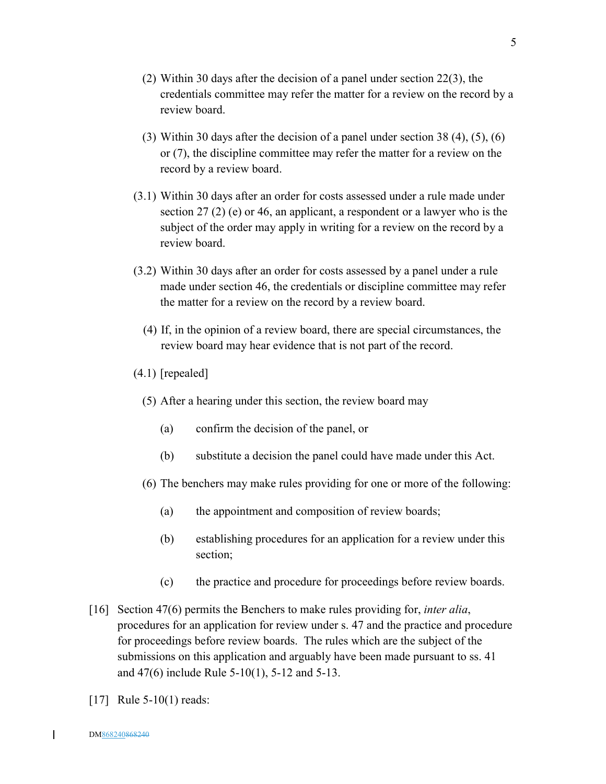- (2) Within 30 days after the decision of a panel under section 22(3), the credentials committee may refer the matter for a review on the record by a review board.
- (3) Within 30 days after the decision of a panel under section 38 (4), (5), (6) or (7), the discipline committee may refer the matter for a review on the record by a review board.
- (3.1) Within 30 days after an order for costs assessed under a rule made under section 27 (2) (e) or 46, an applicant, a respondent or a lawyer who is the subject of the order may apply in writing for a review on the record by a review board.
- (3.2) Within 30 days after an order for costs assessed by a panel under a rule made under section 46, the credentials or discipline committee may refer the matter for a review on the record by a review board.
	- (4) If, in the opinion of a review board, there are special circumstances, the review board may hear evidence that is not part of the record.
- (4.1) [repealed]
	- (5) After a hearing under this section, the review board may
		- (a) confirm the decision of the panel, or
		- (b) substitute a decision the panel could have made under this Act.
	- (6) The benchers may make rules providing for one or more of the following:
		- (a) the appointment and composition of review boards;
		- (b) establishing procedures for an application for a review under this section;
		- (c) the practice and procedure for proceedings before review boards.
- [16] Section 47(6) permits the Benchers to make rules providing for, *inter alia*, procedures for an application for review under s. 47 and the practice and procedure for proceedings before review boards. The rules which are the subject of the submissions on this application and arguably have been made pursuant to ss. 41 and 47(6) include Rule 5-10(1), 5-12 and 5-13.
- [17] Rule 5-10(1) reads: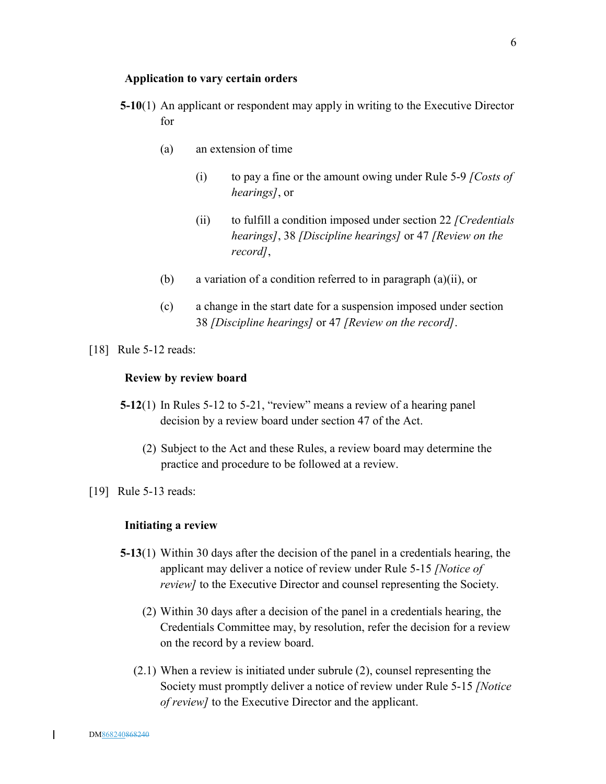#### **Application to vary certain orders**

- **5-10**(1) An applicant or respondent may apply in writing to the Executive Director for
	- (a) an extension of time
		- (i) to pay a fine or the amount owing under Rule 5-9 *[Costs of hearings]*, or
		- (ii) to fulfill a condition imposed under section 22 *[Credentials hearings]*, 38 *[Discipline hearings]* or 47 *[Review on the record]*,
	- (b) a variation of a condition referred to in paragraph (a)(ii), or
	- (c) a change in the start date for a suspension imposed under section 38 *[Discipline hearings]* or 47 *[Review on the record]*.
- [18] Rule 5-12 reads:

### **Review by review board**

- **5-12**(1) In Rules 5-12 to 5-21, "review" means a review of a hearing panel decision by a review board under section 47 of the Act.
	- (2) Subject to the Act and these Rules, a review board may determine the practice and procedure to be followed at a review.
- [19] Rule 5-13 reads:

#### **Initiating a review**

- **5-13**(1) Within 30 days after the decision of the panel in a credentials hearing, the applicant may deliver a notice of review under Rule 5-15 *[Notice of review]* to the Executive Director and counsel representing the Society.
	- (2) Within 30 days after a decision of the panel in a credentials hearing, the Credentials Committee may, by resolution, refer the decision for a review on the record by a review board.
	- (2.1) When a review is initiated under subrule (2), counsel representing the Society must promptly deliver a notice of review under Rule 5-15 *[Notice of review]* to the Executive Director and the applicant.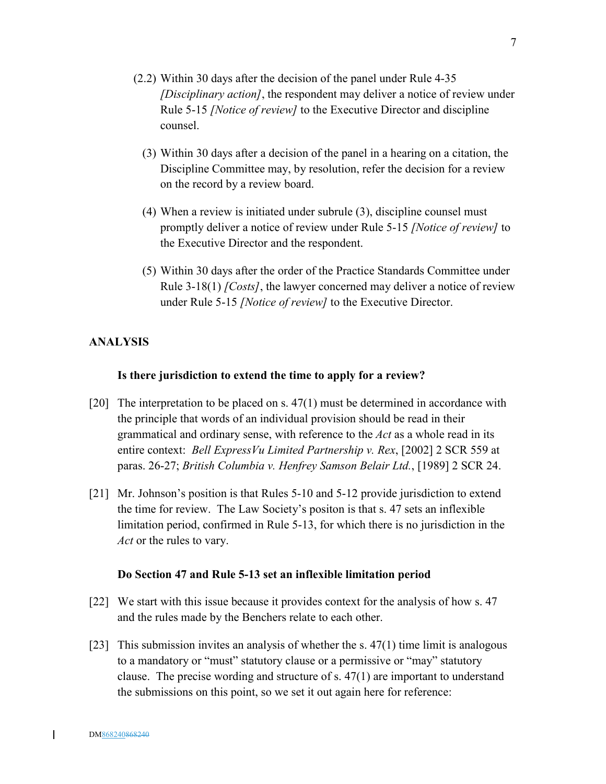- (2.2) Within 30 days after the decision of the panel under Rule 4-35 *[Disciplinary action]*, the respondent may deliver a notice of review under Rule 5-15 *[Notice of review]* to the Executive Director and discipline counsel.
	- (3) Within 30 days after a decision of the panel in a hearing on a citation, the Discipline Committee may, by resolution, refer the decision for a review on the record by a review board.
	- (4) When a review is initiated under subrule (3), discipline counsel must promptly deliver a notice of review under Rule 5-15 *[Notice of review]* to the Executive Director and the respondent.
	- (5) Within 30 days after the order of the Practice Standards Committee under Rule 3-18(1) *[Costs]*, the lawyer concerned may deliver a notice of review under Rule 5-15 *[Notice of review]* to the Executive Director.

### **ANALYSIS**

#### **Is there jurisdiction to extend the time to apply for a review?**

- [20] The interpretation to be placed on s.  $47(1)$  must be determined in accordance with the principle that words of an individual provision should be read in their grammatical and ordinary sense, with reference to the *Act* as a whole read in its entire context: *Bell ExpressVu Limited Partnership v. Rex*, [2002] 2 SCR 559 at paras. 26-27; *British Columbia v. Henfrey Samson Belair Ltd.*, [1989] 2 SCR 24.
- [21] Mr. Johnson's position is that Rules 5-10 and 5-12 provide jurisdiction to extend the time for review. The Law Society's positon is that s. 47 sets an inflexible limitation period, confirmed in Rule 5-13, for which there is no jurisdiction in the *Act* or the rules to vary.

#### **Do Section 47 and Rule 5-13 set an inflexible limitation period**

- [22] We start with this issue because it provides context for the analysis of how s. 47 and the rules made by the Benchers relate to each other.
- [23] This submission invites an analysis of whether the s. 47(1) time limit is analogous to a mandatory or "must" statutory clause or a permissive or "may" statutory clause. The precise wording and structure of s. 47(1) are important to understand the submissions on this point, so we set it out again here for reference: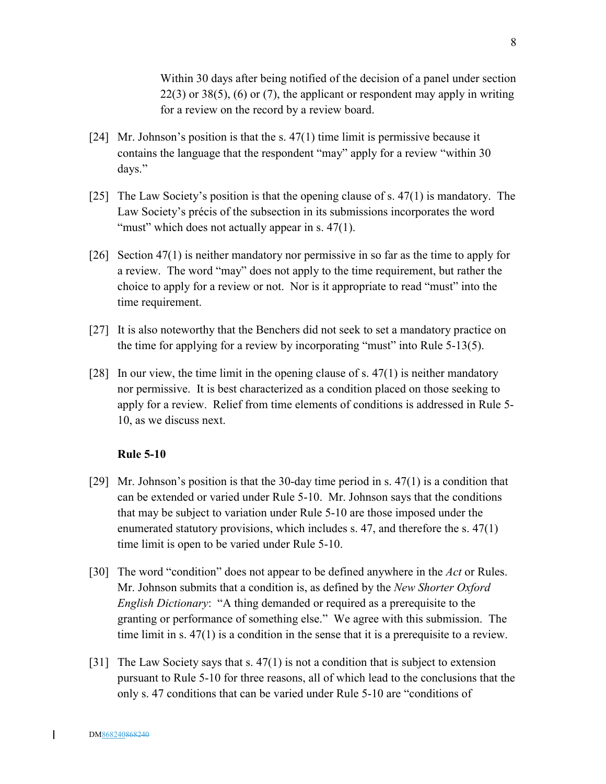Within 30 days after being notified of the decision of a panel under section  $22(3)$  or  $38(5)$ , (6) or (7), the applicant or respondent may apply in writing for a review on the record by a review board.

- [24] Mr. Johnson's position is that the s. 47(1) time limit is permissive because it contains the language that the respondent "may" apply for a review "within 30 days."
- [25] The Law Society's position is that the opening clause of s. 47(1) is mandatory. The Law Society's précis of the subsection in its submissions incorporates the word "must" which does not actually appear in s.  $47(1)$ .
- [26] Section 47(1) is neither mandatory nor permissive in so far as the time to apply for a review. The word "may" does not apply to the time requirement, but rather the choice to apply for a review or not. Nor is it appropriate to read "must" into the time requirement.
- [27] It is also noteworthy that the Benchers did not seek to set a mandatory practice on the time for applying for a review by incorporating "must" into Rule 5-13(5).
- [28] In our view, the time limit in the opening clause of s. 47(1) is neither mandatory nor permissive. It is best characterized as a condition placed on those seeking to apply for a review. Relief from time elements of conditions is addressed in Rule 5- 10, as we discuss next.

#### **Rule 5-10**

- [29] Mr. Johnson's position is that the 30-day time period in s.  $47(1)$  is a condition that can be extended or varied under Rule 5-10. Mr. Johnson says that the conditions that may be subject to variation under Rule 5-10 are those imposed under the enumerated statutory provisions, which includes s. 47, and therefore the s. 47(1) time limit is open to be varied under Rule 5-10.
- [30] The word "condition" does not appear to be defined anywhere in the *Act* or Rules. Mr. Johnson submits that a condition is, as defined by the *New Shorter Oxford English Dictionary*: "A thing demanded or required as a prerequisite to the granting or performance of something else." We agree with this submission. The time limit in s. 47(1) is a condition in the sense that it is a prerequisite to a review.
- [31] The Law Society says that s. 47(1) is not a condition that is subject to extension pursuant to Rule 5-10 for three reasons, all of which lead to the conclusions that the only s. 47 conditions that can be varied under Rule 5-10 are "conditions of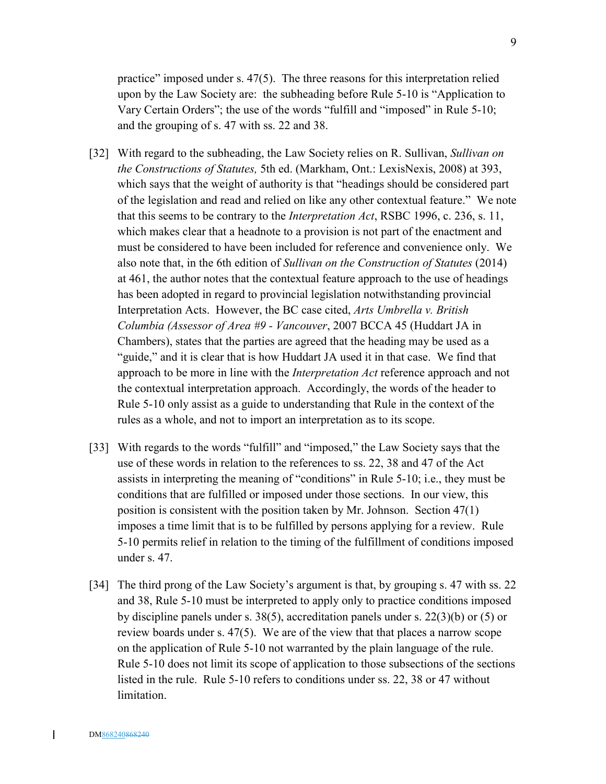practice" imposed under s. 47(5). The three reasons for this interpretation relied upon by the Law Society are: the subheading before Rule 5-10 is "Application to Vary Certain Orders"; the use of the words "fulfill and "imposed" in Rule 5-10; and the grouping of s. 47 with ss. 22 and 38.

- [32] With regard to the subheading, the Law Society relies on R. Sullivan, *Sullivan on the Constructions of Statutes,* 5th ed. (Markham, Ont.: LexisNexis, 2008) at 393, which says that the weight of authority is that "headings should be considered part of the legislation and read and relied on like any other contextual feature." We note that this seems to be contrary to the *Interpretation Act*, RSBC 1996, c. 236, s. 11, which makes clear that a headnote to a provision is not part of the enactment and must be considered to have been included for reference and convenience only. We also note that, in the 6th edition of *Sullivan on the Construction of Statutes* (2014) at 461, the author notes that the contextual feature approach to the use of headings has been adopted in regard to provincial legislation notwithstanding provincial Interpretation Acts. However, the BC case cited, *Arts Umbrella v. British Columbia (Assessor of Area #9 - Vancouver*, 2007 BCCA 45 (Huddart JA in Chambers), states that the parties are agreed that the heading may be used as a "guide," and it is clear that is how Huddart JA used it in that case. We find that approach to be more in line with the *Interpretation Act* reference approach and not the contextual interpretation approach. Accordingly, the words of the header to Rule 5-10 only assist as a guide to understanding that Rule in the context of the rules as a whole, and not to import an interpretation as to its scope.
- [33] With regards to the words "fulfill" and "imposed," the Law Society says that the use of these words in relation to the references to ss. 22, 38 and 47 of the Act assists in interpreting the meaning of "conditions" in Rule 5-10; i.e., they must be conditions that are fulfilled or imposed under those sections. In our view, this position is consistent with the position taken by Mr. Johnson. Section 47(1) imposes a time limit that is to be fulfilled by persons applying for a review. Rule 5-10 permits relief in relation to the timing of the fulfillment of conditions imposed under s. 47.
- [34] The third prong of the Law Society's argument is that, by grouping s. 47 with ss. 22 and 38, Rule 5-10 must be interpreted to apply only to practice conditions imposed by discipline panels under s. 38(5), accreditation panels under s. 22(3)(b) or (5) or review boards under s. 47(5). We are of the view that that places a narrow scope on the application of Rule 5-10 not warranted by the plain language of the rule. Rule 5-10 does not limit its scope of application to those subsections of the sections listed in the rule. Rule 5-10 refers to conditions under ss. 22, 38 or 47 without limitation.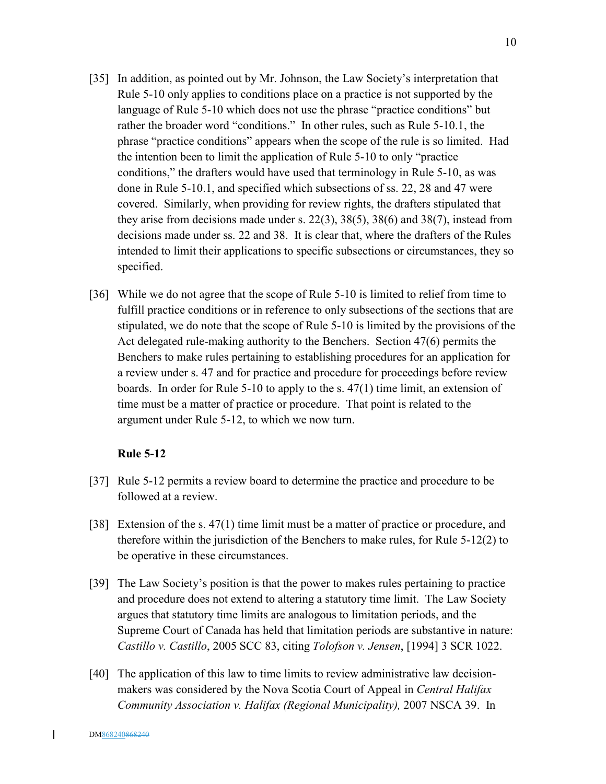- [35] In addition, as pointed out by Mr. Johnson, the Law Society's interpretation that Rule 5-10 only applies to conditions place on a practice is not supported by the language of Rule 5-10 which does not use the phrase "practice conditions" but rather the broader word "conditions." In other rules, such as Rule 5-10.1, the phrase "practice conditions" appears when the scope of the rule is so limited. Had the intention been to limit the application of Rule 5-10 to only "practice conditions," the drafters would have used that terminology in Rule 5-10, as was done in Rule 5-10.1, and specified which subsections of ss. 22, 28 and 47 were covered. Similarly, when providing for review rights, the drafters stipulated that they arise from decisions made under s. 22(3), 38(5), 38(6) and 38(7), instead from decisions made under ss. 22 and 38. It is clear that, where the drafters of the Rules intended to limit their applications to specific subsections or circumstances, they so specified.
- [36] While we do not agree that the scope of Rule 5-10 is limited to relief from time to fulfill practice conditions or in reference to only subsections of the sections that are stipulated, we do note that the scope of Rule 5-10 is limited by the provisions of the Act delegated rule-making authority to the Benchers. Section 47(6) permits the Benchers to make rules pertaining to establishing procedures for an application for a review under s. 47 and for practice and procedure for proceedings before review boards. In order for Rule 5-10 to apply to the s. 47(1) time limit, an extension of time must be a matter of practice or procedure. That point is related to the argument under Rule 5-12, to which we now turn.

#### **Rule 5-12**

- [37] Rule 5-12 permits a review board to determine the practice and procedure to be followed at a review.
- [38] Extension of the s. 47(1) time limit must be a matter of practice or procedure, and therefore within the jurisdiction of the Benchers to make rules, for Rule 5-12(2) to be operative in these circumstances.
- [39] The Law Society's position is that the power to makes rules pertaining to practice and procedure does not extend to altering a statutory time limit. The Law Society argues that statutory time limits are analogous to limitation periods, and the Supreme Court of Canada has held that limitation periods are substantive in nature: *Castillo v. Castillo*, 2005 SCC 83, citing *Tolofson v. Jensen*, [1994] 3 SCR 1022.
- [40] The application of this law to time limits to review administrative law decisionmakers was considered by the Nova Scotia Court of Appeal in *Central Halifax Community Association v. Halifax (Regional Municipality),* 2007 NSCA 39. In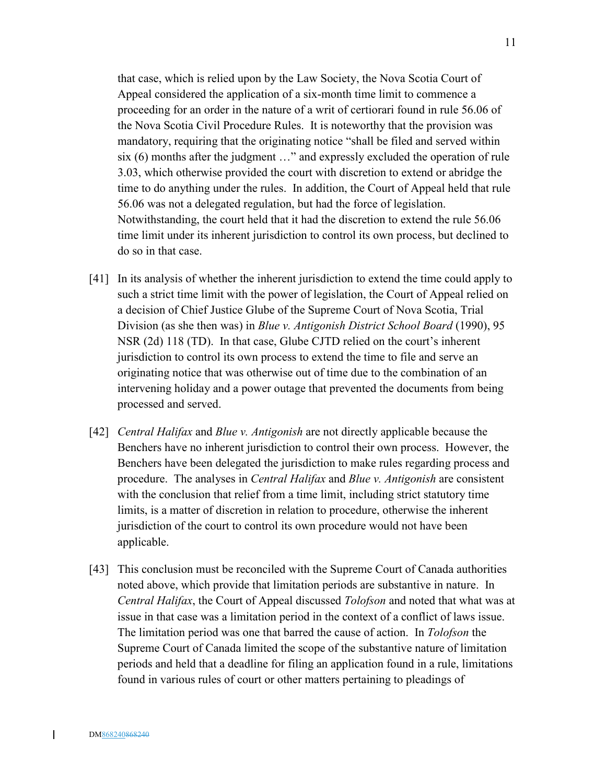that case, which is relied upon by the Law Society, the Nova Scotia Court of Appeal considered the application of a six-month time limit to commence a proceeding for an order in the nature of a writ of certiorari found in rule 56.06 of the Nova Scotia Civil Procedure Rules. It is noteworthy that the provision was mandatory, requiring that the originating notice "shall be filed and served within six (6) months after the judgment …" and expressly excluded the operation of rule 3.03, which otherwise provided the court with discretion to extend or abridge the time to do anything under the rules. In addition, the Court of Appeal held that rule 56.06 was not a delegated regulation, but had the force of legislation. Notwithstanding, the court held that it had the discretion to extend the rule 56.06 time limit under its inherent jurisdiction to control its own process, but declined to do so in that case.

- [41] In its analysis of whether the inherent jurisdiction to extend the time could apply to such a strict time limit with the power of legislation, the Court of Appeal relied on a decision of Chief Justice Glube of the Supreme Court of Nova Scotia, Trial Division (as she then was) in *Blue v. Antigonish District School Board* (1990), 95 NSR (2d) 118 (TD). In that case, Glube CJTD relied on the court's inherent jurisdiction to control its own process to extend the time to file and serve an originating notice that was otherwise out of time due to the combination of an intervening holiday and a power outage that prevented the documents from being processed and served.
- [42] *Central Halifax* and *Blue v. Antigonish* are not directly applicable because the Benchers have no inherent jurisdiction to control their own process. However, the Benchers have been delegated the jurisdiction to make rules regarding process and procedure. The analyses in *Central Halifax* and *Blue v. Antigonish* are consistent with the conclusion that relief from a time limit, including strict statutory time limits, is a matter of discretion in relation to procedure, otherwise the inherent jurisdiction of the court to control its own procedure would not have been applicable.
- [43] This conclusion must be reconciled with the Supreme Court of Canada authorities noted above, which provide that limitation periods are substantive in nature. In *Central Halifax*, the Court of Appeal discussed *Tolofson* and noted that what was at issue in that case was a limitation period in the context of a conflict of laws issue. The limitation period was one that barred the cause of action. In *Tolofson* the Supreme Court of Canada limited the scope of the substantive nature of limitation periods and held that a deadline for filing an application found in a rule, limitations found in various rules of court or other matters pertaining to pleadings of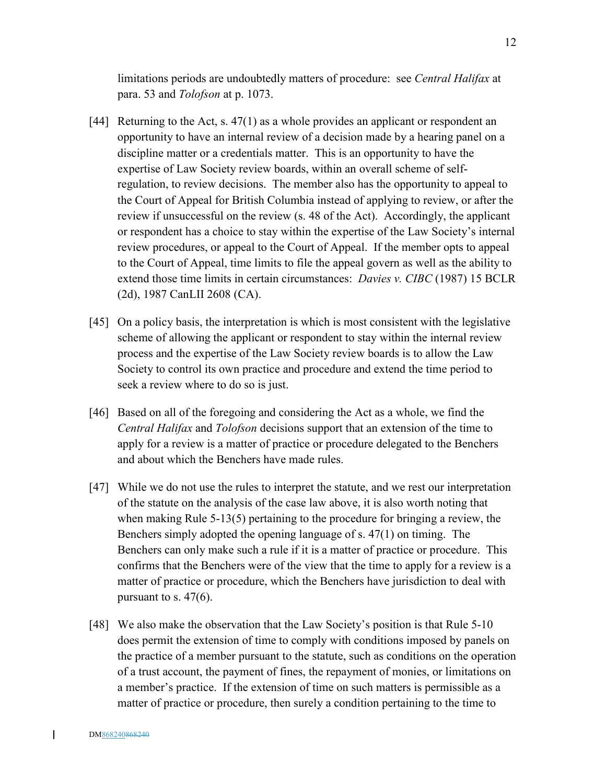limitations periods are undoubtedly matters of procedure: see *Central Halifax* at para. 53 and *Tolofson* at p. 1073.

- [44] Returning to the Act, s. 47(1) as a whole provides an applicant or respondent an opportunity to have an internal review of a decision made by a hearing panel on a discipline matter or a credentials matter. This is an opportunity to have the expertise of Law Society review boards, within an overall scheme of selfregulation, to review decisions. The member also has the opportunity to appeal to the Court of Appeal for British Columbia instead of applying to review, or after the review if unsuccessful on the review (s. 48 of the Act). Accordingly, the applicant or respondent has a choice to stay within the expertise of the Law Society's internal review procedures, or appeal to the Court of Appeal. If the member opts to appeal to the Court of Appeal, time limits to file the appeal govern as well as the ability to extend those time limits in certain circumstances: *Davies v. CIBC* (1987) 15 BCLR (2d), 1987 CanLII 2608 (CA).
- [45] On a policy basis, the interpretation is which is most consistent with the legislative scheme of allowing the applicant or respondent to stay within the internal review process and the expertise of the Law Society review boards is to allow the Law Society to control its own practice and procedure and extend the time period to seek a review where to do so is just.
- [46] Based on all of the foregoing and considering the Act as a whole, we find the *Central Halifax* and *Tolofson* decisions support that an extension of the time to apply for a review is a matter of practice or procedure delegated to the Benchers and about which the Benchers have made rules.
- [47] While we do not use the rules to interpret the statute, and we rest our interpretation of the statute on the analysis of the case law above, it is also worth noting that when making Rule 5-13(5) pertaining to the procedure for bringing a review, the Benchers simply adopted the opening language of s. 47(1) on timing. The Benchers can only make such a rule if it is a matter of practice or procedure. This confirms that the Benchers were of the view that the time to apply for a review is a matter of practice or procedure, which the Benchers have jurisdiction to deal with pursuant to s.  $47(6)$ .
- [48] We also make the observation that the Law Society's position is that Rule 5-10 does permit the extension of time to comply with conditions imposed by panels on the practice of a member pursuant to the statute, such as conditions on the operation of a trust account, the payment of fines, the repayment of monies, or limitations on a member's practice. If the extension of time on such matters is permissible as a matter of practice or procedure, then surely a condition pertaining to the time to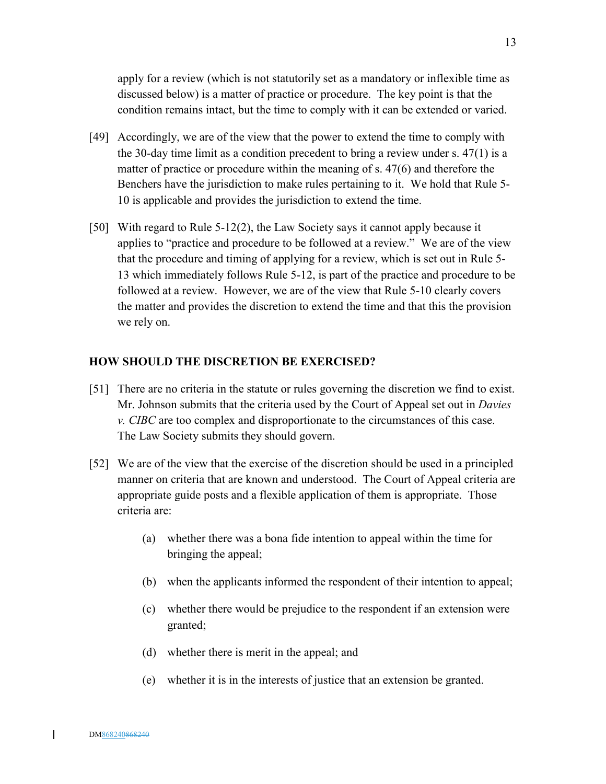apply for a review (which is not statutorily set as a mandatory or inflexible time as discussed below) is a matter of practice or procedure. The key point is that the condition remains intact, but the time to comply with it can be extended or varied.

- [49] Accordingly, we are of the view that the power to extend the time to comply with the 30-day time limit as a condition precedent to bring a review under s. 47(1) is a matter of practice or procedure within the meaning of s. 47(6) and therefore the Benchers have the jurisdiction to make rules pertaining to it. We hold that Rule 5- 10 is applicable and provides the jurisdiction to extend the time.
- [50] With regard to Rule 5-12(2), the Law Society says it cannot apply because it applies to "practice and procedure to be followed at a review." We are of the view that the procedure and timing of applying for a review, which is set out in Rule 5- 13 which immediately follows Rule 5-12, is part of the practice and procedure to be followed at a review. However, we are of the view that Rule 5-10 clearly covers the matter and provides the discretion to extend the time and that this the provision we rely on.

#### **HOW SHOULD THE DISCRETION BE EXERCISED?**

- [51] There are no criteria in the statute or rules governing the discretion we find to exist. Mr. Johnson submits that the criteria used by the Court of Appeal set out in *Davies v. CIBC* are too complex and disproportionate to the circumstances of this case. The Law Society submits they should govern.
- [52] We are of the view that the exercise of the discretion should be used in a principled manner on criteria that are known and understood. The Court of Appeal criteria are appropriate guide posts and a flexible application of them is appropriate. Those criteria are:
	- (a) whether there was a bona fide intention to appeal within the time for bringing the appeal;
	- (b) when the applicants informed the respondent of their intention to appeal;
	- (c) whether there would be prejudice to the respondent if an extension were granted;
	- (d) whether there is merit in the appeal; and
	- (e) whether it is in the interests of justice that an extension be granted.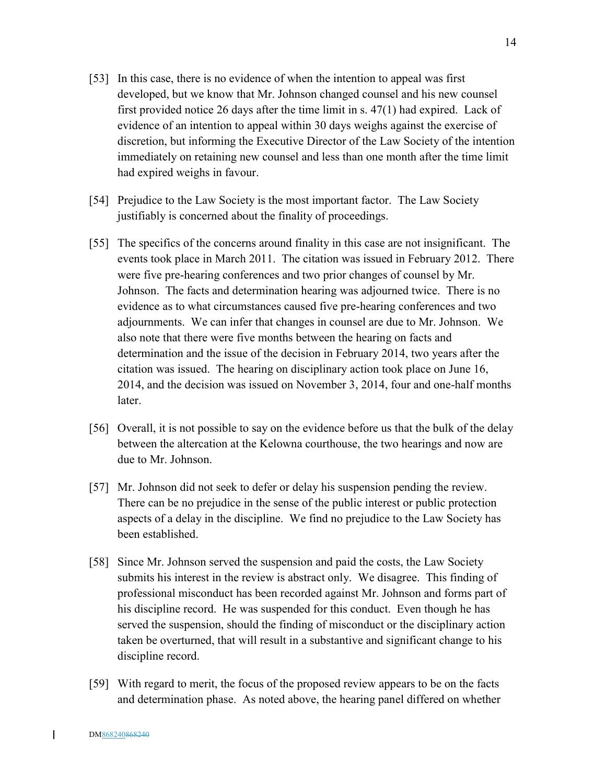- [53] In this case, there is no evidence of when the intention to appeal was first developed, but we know that Mr. Johnson changed counsel and his new counsel first provided notice 26 days after the time limit in s. 47(1) had expired. Lack of evidence of an intention to appeal within 30 days weighs against the exercise of discretion, but informing the Executive Director of the Law Society of the intention immediately on retaining new counsel and less than one month after the time limit had expired weighs in favour.
- [54] Prejudice to the Law Society is the most important factor. The Law Society justifiably is concerned about the finality of proceedings.
- [55] The specifics of the concerns around finality in this case are not insignificant. The events took place in March 2011. The citation was issued in February 2012. There were five pre-hearing conferences and two prior changes of counsel by Mr. Johnson. The facts and determination hearing was adjourned twice. There is no evidence as to what circumstances caused five pre-hearing conferences and two adjournments. We can infer that changes in counsel are due to Mr. Johnson. We also note that there were five months between the hearing on facts and determination and the issue of the decision in February 2014, two years after the citation was issued. The hearing on disciplinary action took place on June 16, 2014, and the decision was issued on November 3, 2014, four and one-half months later.
- [56] Overall, it is not possible to say on the evidence before us that the bulk of the delay between the altercation at the Kelowna courthouse, the two hearings and now are due to Mr. Johnson.
- [57] Mr. Johnson did not seek to defer or delay his suspension pending the review. There can be no prejudice in the sense of the public interest or public protection aspects of a delay in the discipline. We find no prejudice to the Law Society has been established.
- [58] Since Mr. Johnson served the suspension and paid the costs, the Law Society submits his interest in the review is abstract only. We disagree. This finding of professional misconduct has been recorded against Mr. Johnson and forms part of his discipline record. He was suspended for this conduct. Even though he has served the suspension, should the finding of misconduct or the disciplinary action taken be overturned, that will result in a substantive and significant change to his discipline record.
- [59] With regard to merit, the focus of the proposed review appears to be on the facts and determination phase. As noted above, the hearing panel differed on whether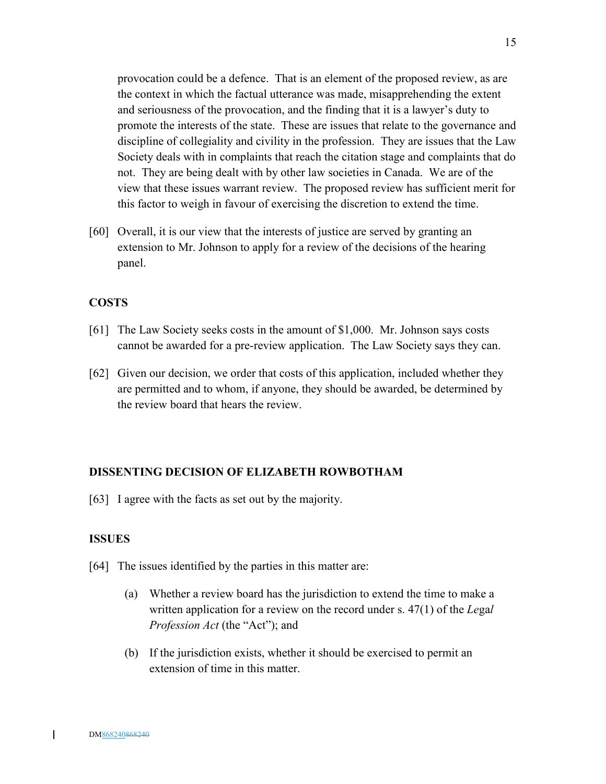provocation could be a defence. That is an element of the proposed review, as are the context in which the factual utterance was made, misapprehending the extent and seriousness of the provocation, and the finding that it is a lawyer's duty to promote the interests of the state. These are issues that relate to the governance and discipline of collegiality and civility in the profession. They are issues that the Law Society deals with in complaints that reach the citation stage and complaints that do not. They are being dealt with by other law societies in Canada. We are of the view that these issues warrant review. The proposed review has sufficient merit for this factor to weigh in favour of exercising the discretion to extend the time.

[60] Overall, it is our view that the interests of justice are served by granting an extension to Mr. Johnson to apply for a review of the decisions of the hearing panel.

### **COSTS**

- [61] The Law Society seeks costs in the amount of \$1,000. Mr. Johnson says costs cannot be awarded for a pre-review application. The Law Society says they can.
- [62] Given our decision, we order that costs of this application, included whether they are permitted and to whom, if anyone, they should be awarded, be determined by the review board that hears the review.

#### **DISSENTING DECISION OF ELIZABETH ROWBOTHAM**

[63] I agree with the facts as set out by the majority.

### **ISSUES**

- [64] The issues identified by the parties in this matter are:
	- (a) Whether a review board has the jurisdiction to extend the time to make a written application for a review on the record under s. 47(1) of the *Le*ga*l Profession Act* (the "Act"); and
	- (b) If the jurisdiction exists, whether it should be exercised to permit an extension of time in this matter.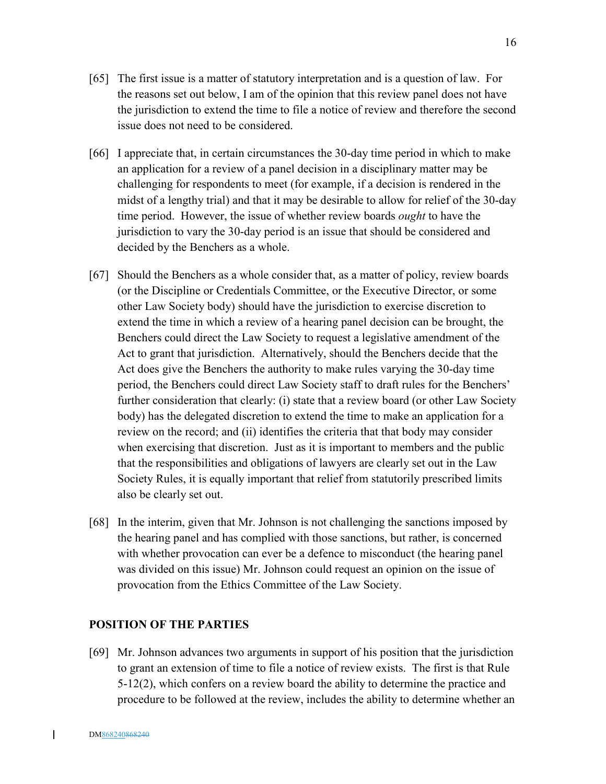- [65] The first issue is a matter of statutory interpretation and is a question of law. For the reasons set out below, I am of the opinion that this review panel does not have the jurisdiction to extend the time to file a notice of review and therefore the second issue does not need to be considered.
- [66] I appreciate that, in certain circumstances the 30-day time period in which to make an application for a review of a panel decision in a disciplinary matter may be challenging for respondents to meet (for example, if a decision is rendered in the midst of a lengthy trial) and that it may be desirable to allow for relief of the 30-day time period. However, the issue of whether review boards *ought* to have the jurisdiction to vary the 30-day period is an issue that should be considered and decided by the Benchers as a whole.
- [67] Should the Benchers as a whole consider that, as a matter of policy, review boards (or the Discipline or Credentials Committee, or the Executive Director, or some other Law Society body) should have the jurisdiction to exercise discretion to extend the time in which a review of a hearing panel decision can be brought, the Benchers could direct the Law Society to request a legislative amendment of the Act to grant that jurisdiction. Alternatively, should the Benchers decide that the Act does give the Benchers the authority to make rules varying the 30-day time period, the Benchers could direct Law Society staff to draft rules for the Benchers' further consideration that clearly: (i) state that a review board (or other Law Society body) has the delegated discretion to extend the time to make an application for a review on the record; and (ii) identifies the criteria that that body may consider when exercising that discretion. Just as it is important to members and the public that the responsibilities and obligations of lawyers are clearly set out in the Law Society Rules, it is equally important that relief from statutorily prescribed limits also be clearly set out.
- [68] In the interim, given that Mr. Johnson is not challenging the sanctions imposed by the hearing panel and has complied with those sanctions, but rather, is concerned with whether provocation can ever be a defence to misconduct (the hearing panel was divided on this issue) Mr. Johnson could request an opinion on the issue of provocation from the Ethics Committee of the Law Society.

### **POSITION OF THE PARTIES**

[69] Mr. Johnson advances two arguments in support of his position that the jurisdiction to grant an extension of time to file a notice of review exists. The first is that Rule 5-12(2), which confers on a review board the ability to determine the practice and procedure to be followed at the review, includes the ability to determine whether an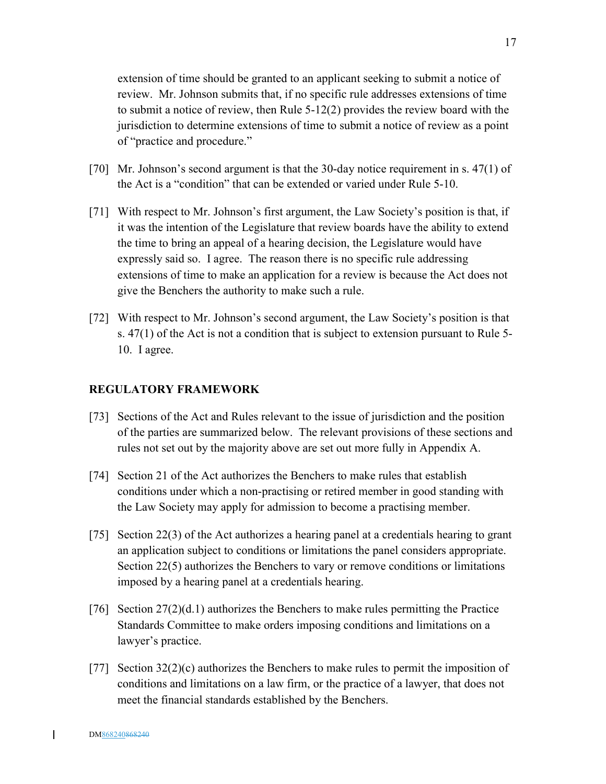extension of time should be granted to an applicant seeking to submit a notice of review. Mr. Johnson submits that, if no specific rule addresses extensions of time to submit a notice of review, then Rule 5-12(2) provides the review board with the jurisdiction to determine extensions of time to submit a notice of review as a point of "practice and procedure."

- [70] Mr. Johnson's second argument is that the 30-day notice requirement in s. 47(1) of the Act is a "condition" that can be extended or varied under Rule 5-10.
- [71] With respect to Mr. Johnson's first argument, the Law Society's position is that, if it was the intention of the Legislature that review boards have the ability to extend the time to bring an appeal of a hearing decision, the Legislature would have expressly said so. I agree. The reason there is no specific rule addressing extensions of time to make an application for a review is because the Act does not give the Benchers the authority to make such a rule.
- [72] With respect to Mr. Johnson's second argument, the Law Society's position is that s. 47(1) of the Act is not a condition that is subject to extension pursuant to Rule 5- 10. I agree.

### **REGULATORY FRAMEWORK**

- [73] Sections of the Act and Rules relevant to the issue of jurisdiction and the position of the parties are summarized below. The relevant provisions of these sections and rules not set out by the majority above are set out more fully in Appendix A.
- [74] Section 21 of the Act authorizes the Benchers to make rules that establish conditions under which a non-practising or retired member in good standing with the Law Society may apply for admission to become a practising member.
- [75] Section 22(3) of the Act authorizes a hearing panel at a credentials hearing to grant an application subject to conditions or limitations the panel considers appropriate. Section 22(5) authorizes the Benchers to vary or remove conditions or limitations imposed by a hearing panel at a credentials hearing.
- [76] Section  $27(2)(d.1)$  authorizes the Benchers to make rules permitting the Practice Standards Committee to make orders imposing conditions and limitations on a lawyer's practice.
- [77] Section  $32(2)(c)$  authorizes the Benchers to make rules to permit the imposition of conditions and limitations on a law firm, or the practice of a lawyer, that does not meet the financial standards established by the Benchers.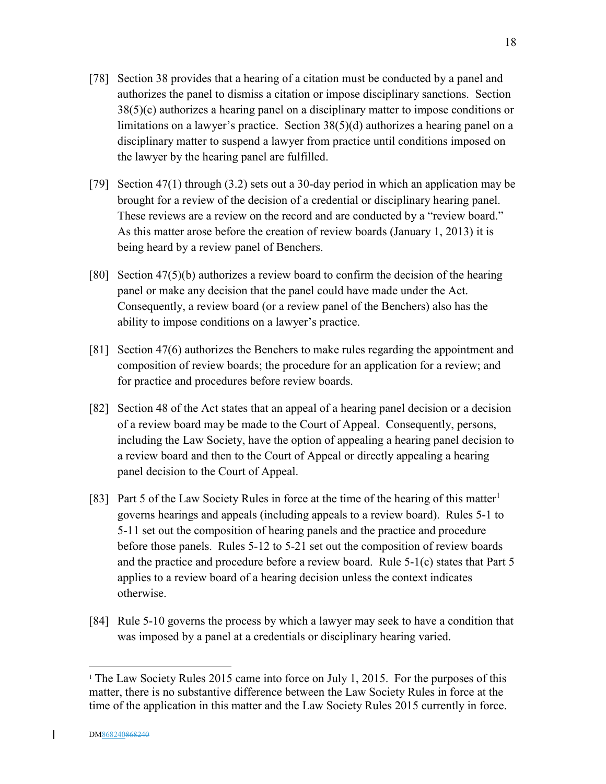- [78] Section 38 provides that a hearing of a citation must be conducted by a panel and authorizes the panel to dismiss a citation or impose disciplinary sanctions. Section 38(5)(c) authorizes a hearing panel on a disciplinary matter to impose conditions or limitations on a lawyer's practice. Section 38(5)(d) authorizes a hearing panel on a disciplinary matter to suspend a lawyer from practice until conditions imposed on the lawyer by the hearing panel are fulfilled.
- [79] Section 47(1) through (3.2) sets out a 30-day period in which an application may be brought for a review of the decision of a credential or disciplinary hearing panel. These reviews are a review on the record and are conducted by a "review board." As this matter arose before the creation of review boards (January 1, 2013) it is being heard by a review panel of Benchers.
- [80] Section 47(5)(b) authorizes a review board to confirm the decision of the hearing panel or make any decision that the panel could have made under the Act. Consequently, a review board (or a review panel of the Benchers) also has the ability to impose conditions on a lawyer's practice.
- [81] Section 47(6) authorizes the Benchers to make rules regarding the appointment and composition of review boards; the procedure for an application for a review; and for practice and procedures before review boards.
- [82] Section 48 of the Act states that an appeal of a hearing panel decision or a decision of a review board may be made to the Court of Appeal. Consequently, persons, including the Law Society, have the option of appealing a hearing panel decision to a review board and then to the Court of Appeal or directly appealing a hearing panel decision to the Court of Appeal.
- [83] Part 5 of the Law Society Rules in force at the time of the hearing of this matter<sup>1</sup> governs hearings and appeals (including appeals to a review board). Rules 5-1 to 5-11 set out the composition of hearing panels and the practice and procedure before those panels. Rules 5-12 to 5-21 set out the composition of review boards and the practice and procedure before a review board. Rule 5-1(c) states that Part 5 applies to a review board of a hearing decision unless the context indicates otherwise.
- [84] Rule 5-10 governs the process by which a lawyer may seek to have a condition that was imposed by a panel at a credentials or disciplinary hearing varied.

1

<sup>&</sup>lt;sup>1</sup> The Law Society Rules 2015 came into force on July 1, 2015. For the purposes of this matter, there is no substantive difference between the Law Society Rules in force at the time of the application in this matter and the Law Society Rules 2015 currently in force.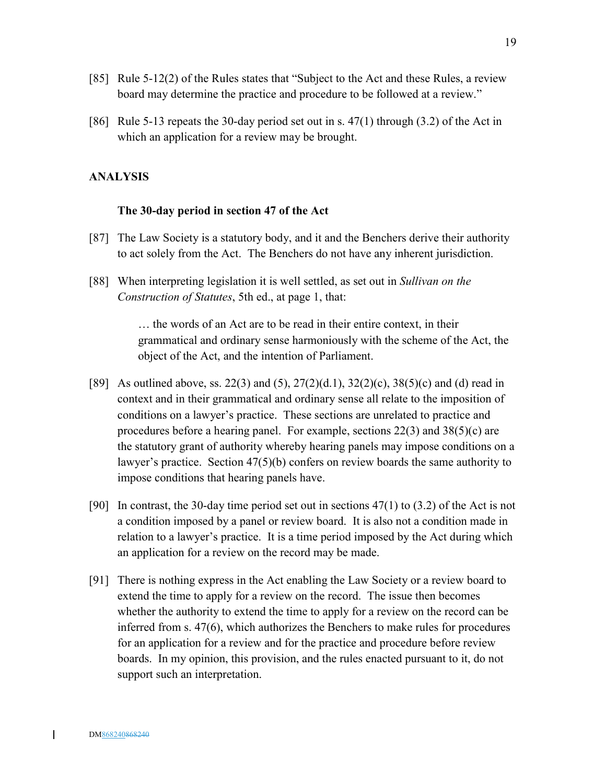- [85] Rule 5-12(2) of the Rules states that "Subject to the Act and these Rules, a review board may determine the practice and procedure to be followed at a review."
- [86] Rule 5-13 repeats the 30-day period set out in s. 47(1) through (3.2) of the Act in which an application for a review may be brought.

### **ANALYSIS**

#### **The 30-day period in section 47 of the Act**

- [87] The Law Society is a statutory body, and it and the Benchers derive their authority to act solely from the Act. The Benchers do not have any inherent jurisdiction.
- [88] When interpreting legislation it is well settled, as set out in *Sullivan on the Construction of Statutes*, 5th ed., at page 1, that:

… the words of an Act are to be read in their entire context, in their grammatical and ordinary sense harmoniously with the scheme of the Act, the object of the Act, and the intention of Parliament.

- [89] As outlined above, ss. 22(3) and (5),  $27(2)(d.1)$ ,  $32(2)(c)$ ,  $38(5)(c)$  and (d) read in context and in their grammatical and ordinary sense all relate to the imposition of conditions on a lawyer's practice. These sections are unrelated to practice and procedures before a hearing panel. For example, sections  $22(3)$  and  $38(5)(c)$  are the statutory grant of authority whereby hearing panels may impose conditions on a lawyer's practice. Section 47(5)(b) confers on review boards the same authority to impose conditions that hearing panels have.
- [90] In contrast, the 30-day time period set out in sections  $47(1)$  to  $(3.2)$  of the Act is not a condition imposed by a panel or review board. It is also not a condition made in relation to a lawyer's practice. It is a time period imposed by the Act during which an application for a review on the record may be made.
- [91] There is nothing express in the Act enabling the Law Society or a review board to extend the time to apply for a review on the record. The issue then becomes whether the authority to extend the time to apply for a review on the record can be inferred from s. 47(6), which authorizes the Benchers to make rules for procedures for an application for a review and for the practice and procedure before review boards. In my opinion, this provision, and the rules enacted pursuant to it, do not support such an interpretation.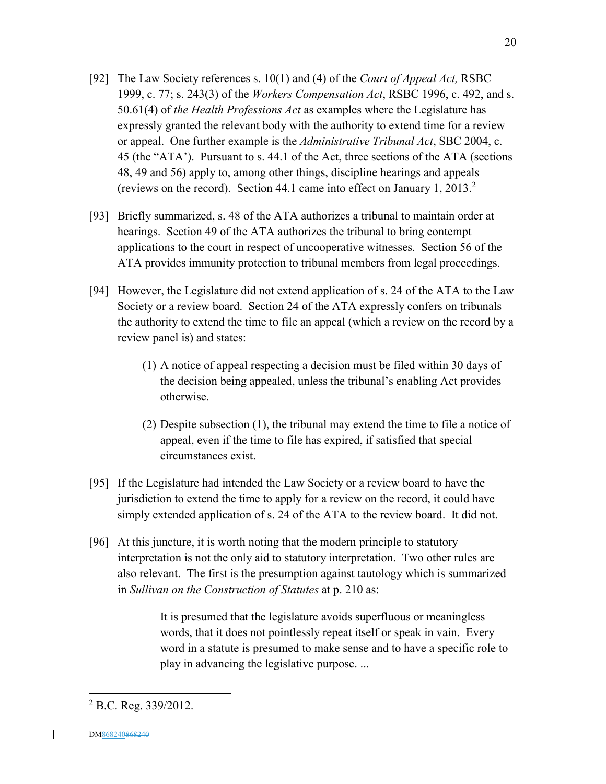- [92] The Law Society references s. 10(1) and (4) of the *Court of Appeal Act,* RSBC 1999, c. 77; s. 243(3) of the *Workers Compensation Act*, RSBC 1996, c. 492, and s. 50.61(4) of *the Health Professions Act* as examples where the Legislature has expressly granted the relevant body with the authority to extend time for a review or appeal. One further example is the *Administrative Tribunal Act*, SBC 2004, c. 45 (the "ATA'). Pursuant to s. 44.1 of the Act, three sections of the ATA (sections 48, 49 and 56) apply to, among other things, discipline hearings and appeals (reviews on the record). Section 44.1 came into effect on January 1, 2013.<sup>2</sup>
- [93] Briefly summarized, s. 48 of the ATA authorizes a tribunal to maintain order at hearings. Section 49 of the ATA authorizes the tribunal to bring contempt applications to the court in respect of uncooperative witnesses. Section 56 of the ATA provides immunity protection to tribunal members from legal proceedings.
- [94] However, the Legislature did not extend application of s. 24 of the ATA to the Law Society or a review board. Section 24 of the ATA expressly confers on tribunals the authority to extend the time to file an appeal (which a review on the record by a review panel is) and states:
	- (1) A notice of appeal respecting a decision must be filed within 30 days of the decision being appealed, unless the tribunal's enabling Act provides otherwise.
	- (2) Despite subsection (1), the tribunal may extend the time to file a notice of appeal, even if the time to file has expired, if satisfied that special circumstances exist.
- [95] If the Legislature had intended the Law Society or a review board to have the jurisdiction to extend the time to apply for a review on the record, it could have simply extended application of s. 24 of the ATA to the review board. It did not.
- [96] At this juncture, it is worth noting that the modern principle to statutory interpretation is not the only aid to statutory interpretation. Two other rules are also relevant. The first is the presumption against tautology which is summarized in *Sullivan on the Construction of Statutes* at p. 210 as:

It is presumed that the legislature avoids superfluous or meaningless words, that it does not pointlessly repeat itself or speak in vain. Every word in a statute is presumed to make sense and to have a specific role to play in advancing the legislative purpose. ...

 $\overline{\phantom{a}}$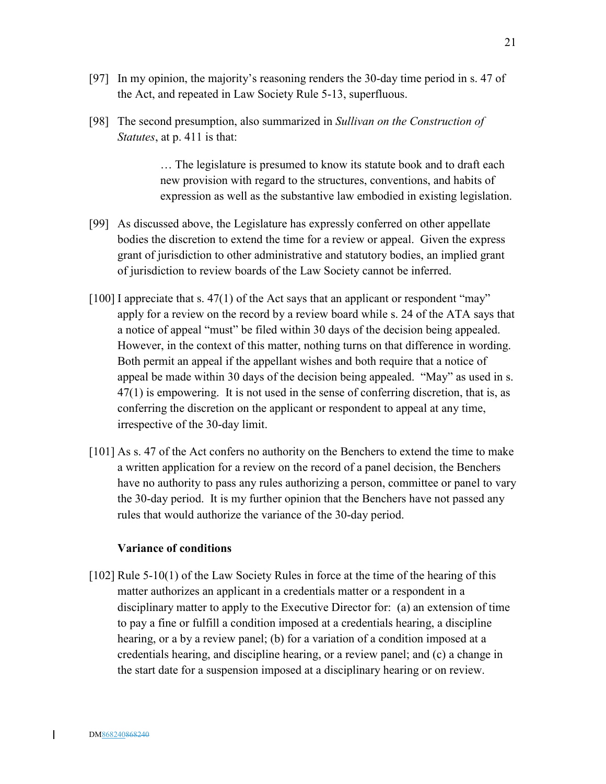- [97] In my opinion, the majority's reasoning renders the 30-day time period in s. 47 of the Act, and repeated in Law Society Rule 5-13, superfluous.
- [98] The second presumption, also summarized in *Sullivan on the Construction of Statutes*, at p. 411 is that:

… The legislature is presumed to know its statute book and to draft each new provision with regard to the structures, conventions, and habits of expression as well as the substantive law embodied in existing legislation.

- [99] As discussed above, the Legislature has expressly conferred on other appellate bodies the discretion to extend the time for a review or appeal. Given the express grant of jurisdiction to other administrative and statutory bodies, an implied grant of jurisdiction to review boards of the Law Society cannot be inferred.
- [100] I appreciate that s. 47(1) of the Act says that an applicant or respondent "may" apply for a review on the record by a review board while s. 24 of the ATA says that a notice of appeal "must" be filed within 30 days of the decision being appealed. However, in the context of this matter, nothing turns on that difference in wording. Both permit an appeal if the appellant wishes and both require that a notice of appeal be made within 30 days of the decision being appealed. "May" as used in s. 47(1) is empowering. It is not used in the sense of conferring discretion, that is, as conferring the discretion on the applicant or respondent to appeal at any time, irrespective of the 30-day limit.
- [101] As s. 47 of the Act confers no authority on the Benchers to extend the time to make a written application for a review on the record of a panel decision, the Benchers have no authority to pass any rules authorizing a person, committee or panel to vary the 30-day period. It is my further opinion that the Benchers have not passed any rules that would authorize the variance of the 30-day period.

#### **Variance of conditions**

[102] Rule 5-10(1) of the Law Society Rules in force at the time of the hearing of this matter authorizes an applicant in a credentials matter or a respondent in a disciplinary matter to apply to the Executive Director for: (a) an extension of time to pay a fine or fulfill a condition imposed at a credentials hearing, a discipline hearing, or a by a review panel; (b) for a variation of a condition imposed at a credentials hearing, and discipline hearing, or a review panel; and (c) a change in the start date for a suspension imposed at a disciplinary hearing or on review.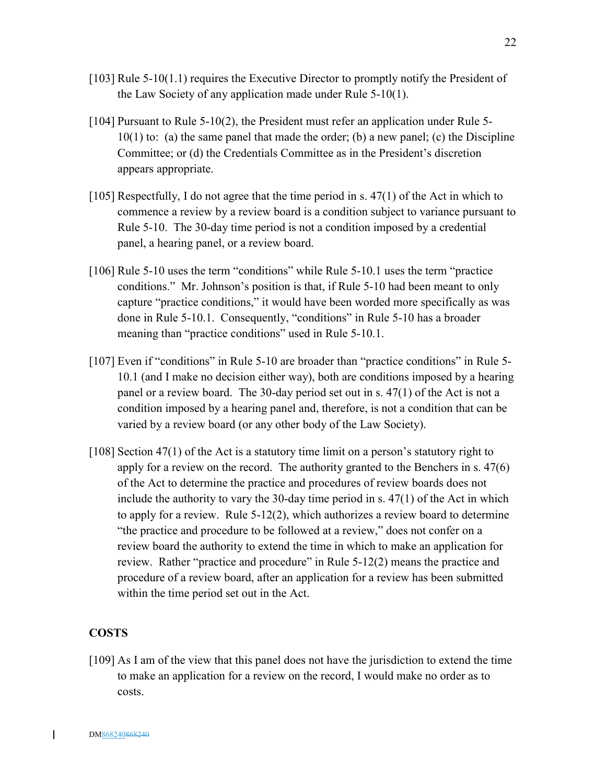- [103] Rule 5-10(1.1) requires the Executive Director to promptly notify the President of the Law Society of any application made under Rule 5-10(1).
- [104] Pursuant to Rule 5-10(2), the President must refer an application under Rule 5- 10(1) to: (a) the same panel that made the order; (b) a new panel; (c) the Discipline Committee; or (d) the Credentials Committee as in the President's discretion appears appropriate.
- $[105]$  Respectfully, I do not agree that the time period in s. 47(1) of the Act in which to commence a review by a review board is a condition subject to variance pursuant to Rule 5-10. The 30-day time period is not a condition imposed by a credential panel, a hearing panel, or a review board.
- [106] Rule 5-10 uses the term "conditions" while Rule 5-10.1 uses the term "practice conditions." Mr. Johnson's position is that, if Rule 5-10 had been meant to only capture "practice conditions," it would have been worded more specifically as was done in Rule 5-10.1. Consequently, "conditions" in Rule 5-10 has a broader meaning than "practice conditions" used in Rule 5-10.1.
- [107] Even if "conditions" in Rule 5-10 are broader than "practice conditions" in Rule 5- 10.1 (and I make no decision either way), both are conditions imposed by a hearing panel or a review board. The 30-day period set out in s. 47(1) of the Act is not a condition imposed by a hearing panel and, therefore, is not a condition that can be varied by a review board (or any other body of the Law Society).
- [108] Section 47(1) of the Act is a statutory time limit on a person's statutory right to apply for a review on the record. The authority granted to the Benchers in s. 47(6) of the Act to determine the practice and procedures of review boards does not include the authority to vary the 30-day time period in s. 47(1) of the Act in which to apply for a review. Rule 5-12(2), which authorizes a review board to determine "the practice and procedure to be followed at a review," does not confer on a review board the authority to extend the time in which to make an application for review. Rather "practice and procedure" in Rule 5-12(2) means the practice and procedure of a review board, after an application for a review has been submitted within the time period set out in the Act.

### **COSTS**

[109] As I am of the view that this panel does not have the jurisdiction to extend the time to make an application for a review on the record, I would make no order as to costs.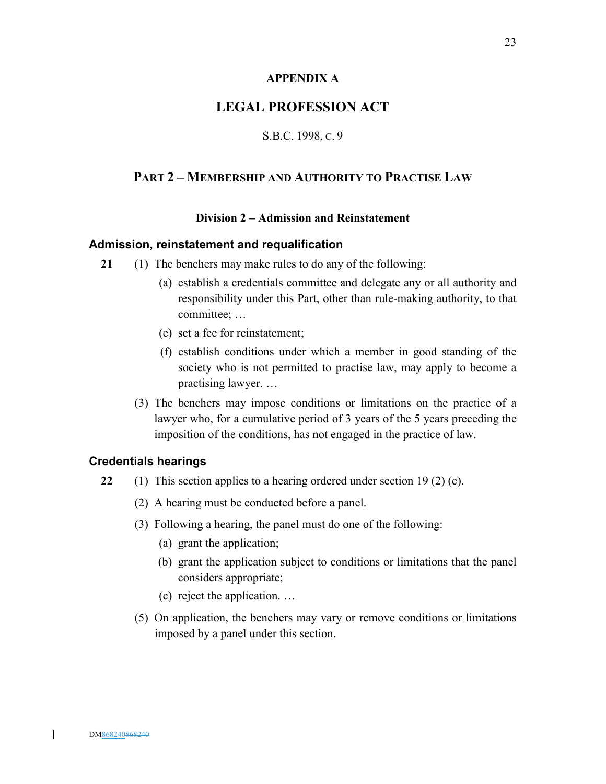### **APPENDIX A**

## **LEGAL PROFESSION ACT**

### S.B.C. 1998, C. 9

## **PART 2 – MEMBERSHIP AND AUTHORITY TO PRACTISE LAW**

### **Division 2 – Admission and Reinstatement**

### **Admission, reinstatement and requalification**

- **21** (1) The benchers may make rules to do any of the following:
	- (a) establish a credentials committee and delegate any or all authority and responsibility under this Part, other than rule-making authority, to that committee; …
	- (e) set a fee for reinstatement;
	- (f) establish conditions under which a member in good standing of the society who is not permitted to practise law, may apply to become a practising lawyer. …
	- (3) The benchers may impose conditions or limitations on the practice of a lawyer who, for a cumulative period of 3 years of the 5 years preceding the imposition of the conditions, has not engaged in the practice of law.

### **Credentials hearings**

- **22** (1) This section applies to a hearing ordered under section 19 (2) (c).
	- (2) A hearing must be conducted before a panel.
	- (3) Following a hearing, the panel must do one of the following:
		- (a) grant the application;
		- (b) grant the application subject to conditions or limitations that the panel considers appropriate;
		- (c) reject the application. …
	- (5) On application, the benchers may vary or remove conditions or limitations imposed by a panel under this section.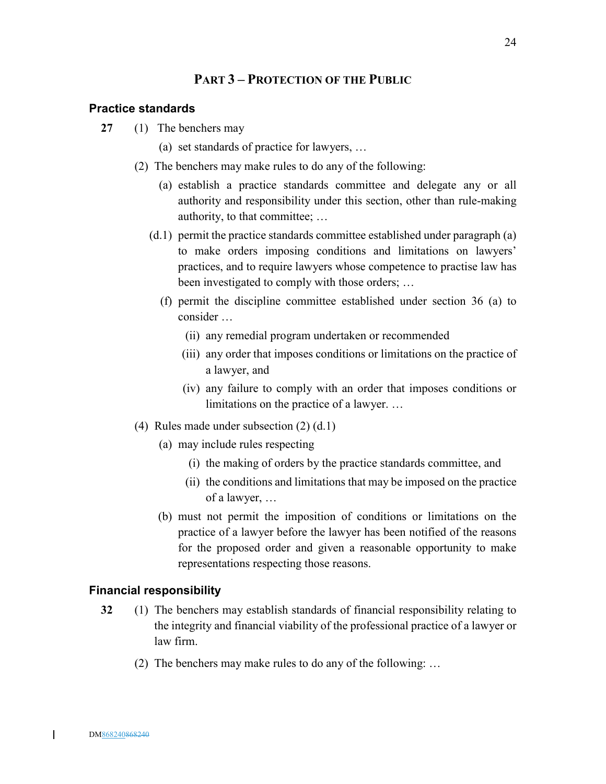## **PART 3 – PROTECTION OF THE PUBLIC**

#### **Practice standards**

- **27** (1) The benchers may
	- (a) set standards of practice for lawyers, …
	- (2) The benchers may make rules to do any of the following:
		- (a) establish a practice standards committee and delegate any or all authority and responsibility under this section, other than rule-making authority, to that committee; …
		- (d.1) permit the practice standards committee established under paragraph (a) to make orders imposing conditions and limitations on lawyers' practices, and to require lawyers whose competence to practise law has been investigated to comply with those orders; …
			- (f) permit the discipline committee established under section 36 (a) to consider …
				- (ii) any remedial program undertaken or recommended
				- (iii) any order that imposes conditions or limitations on the practice of a lawyer, and
				- (iv) any failure to comply with an order that imposes conditions or limitations on the practice of a lawyer. …
	- (4) Rules made under subsection (2) (d.1)
		- (a) may include rules respecting
			- (i) the making of orders by the practice standards committee, and
			- (ii) the conditions and limitations that may be imposed on the practice of a lawyer, …
		- (b) must not permit the imposition of conditions or limitations on the practice of a lawyer before the lawyer has been notified of the reasons for the proposed order and given a reasonable opportunity to make representations respecting those reasons.

#### **Financial responsibility**

- **32** (1) The benchers may establish standards of financial responsibility relating to the integrity and financial viability of the professional practice of a lawyer or law firm.
	- (2) The benchers may make rules to do any of the following: …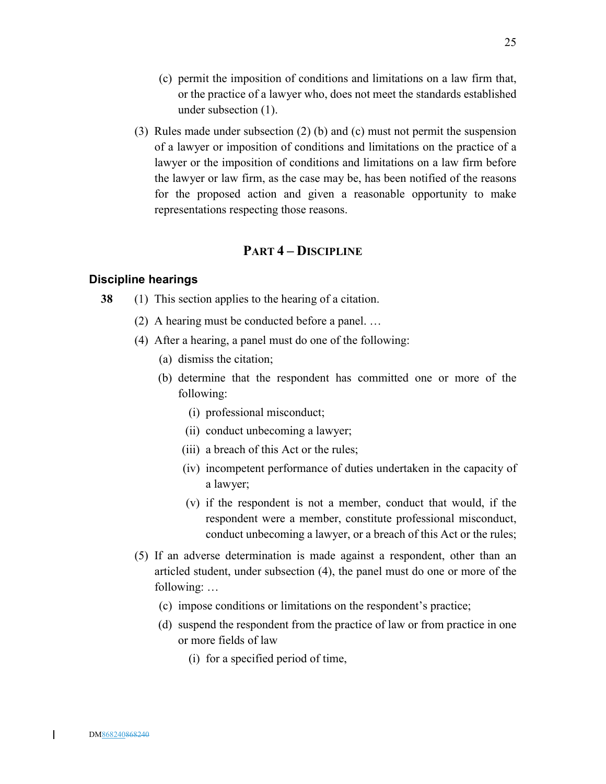- (c) permit the imposition of conditions and limitations on a law firm that, or the practice of a lawyer who, does not meet the standards established under subsection (1).
- (3) Rules made under subsection (2) (b) and (c) must not permit the suspension of a lawyer or imposition of conditions and limitations on the practice of a lawyer or the imposition of conditions and limitations on a law firm before the lawyer or law firm, as the case may be, has been notified of the reasons for the proposed action and given a reasonable opportunity to make representations respecting those reasons.

## **PART 4 – DISCIPLINE**

### **Discipline hearings**

- **38** (1) This section applies to the hearing of a citation.
	- (2) A hearing must be conducted before a panel. …
	- (4) After a hearing, a panel must do one of the following:
		- (a) dismiss the citation;
		- (b) determine that the respondent has committed one or more of the following:
			- (i) professional misconduct;
			- (ii) conduct unbecoming a lawyer;
			- (iii) a breach of this Act or the rules;
			- (iv) incompetent performance of duties undertaken in the capacity of a lawyer;
			- (v) if the respondent is not a member, conduct that would, if the respondent were a member, constitute professional misconduct, conduct unbecoming a lawyer, or a breach of this Act or the rules;
	- (5) If an adverse determination is made against a respondent, other than an articled student, under subsection (4), the panel must do one or more of the following: …
		- (c) impose conditions or limitations on the respondent's practice;
		- (d) suspend the respondent from the practice of law or from practice in one or more fields of law
			- (i) for a specified period of time,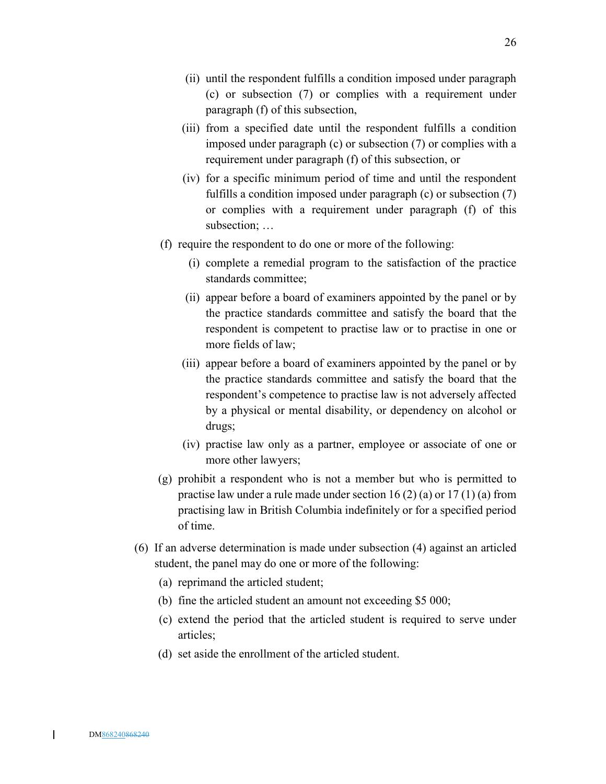- (ii) until the respondent fulfills a condition imposed under paragraph (c) or subsection (7) or complies with a requirement under paragraph (f) of this subsection,
- (iii) from a specified date until the respondent fulfills a condition imposed under paragraph (c) or subsection (7) or complies with a requirement under paragraph (f) of this subsection, or
- (iv) for a specific minimum period of time and until the respondent fulfills a condition imposed under paragraph (c) or subsection (7) or complies with a requirement under paragraph (f) of this subsection; …
- (f) require the respondent to do one or more of the following:
	- (i) complete a remedial program to the satisfaction of the practice standards committee;
	- (ii) appear before a board of examiners appointed by the panel or by the practice standards committee and satisfy the board that the respondent is competent to practise law or to practise in one or more fields of law;
	- (iii) appear before a board of examiners appointed by the panel or by the practice standards committee and satisfy the board that the respondent's competence to practise law is not adversely affected by a physical or mental disability, or dependency on alcohol or drugs;
	- (iv) practise law only as a partner, employee or associate of one or more other lawyers;
- (g) prohibit a respondent who is not a member but who is permitted to practise law under a rule made under section 16  $(2)$  (a) or 17  $(1)$  (a) from practising law in British Columbia indefinitely or for a specified period of time.
- (6) If an adverse determination is made under subsection (4) against an articled student, the panel may do one or more of the following:
	- (a) reprimand the articled student;
	- (b) fine the articled student an amount not exceeding \$5 000;
	- (c) extend the period that the articled student is required to serve under articles;
	- (d) set aside the enrollment of the articled student.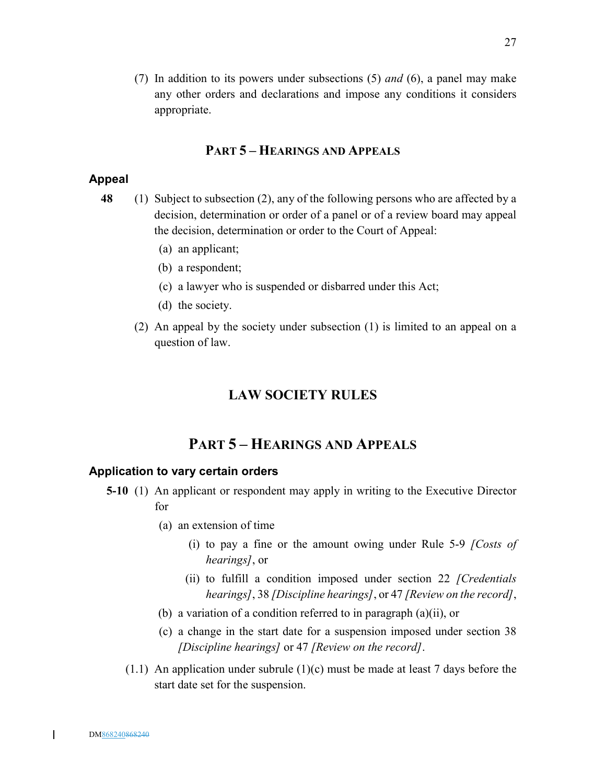(7) In addition to its powers under subsections (5) *and* (6), a panel may make any other orders and declarations and impose any conditions it considers appropriate.

## **PART 5 – HEARINGS AND APPEALS**

## **Appeal**

- **48** (1) Subject to subsection (2), any of the following persons who are affected by a decision, determination or order of a panel or of a review board may appeal the decision, determination or order to the Court of Appeal:
	- (a) an applicant;
	- (b) a respondent;
	- (c) a lawyer who is suspended or disbarred under this Act;
	- (d) the society.
	- (2) An appeal by the society under subsection (1) is limited to an appeal on a question of law.

## **LAW SOCIETY RULES**

# **PART 5 – HEARINGS AND APPEALS**

### **Application to vary certain orders**

- **5-10** (1) An applicant or respondent may apply in writing to the Executive Director for
	- (a) an extension of time
		- (i) to pay a fine or the amount owing under Rule 5-9 *[Costs of hearings]*, or
		- (ii) to fulfill a condition imposed under section 22 *[Credentials hearings]*, 38 *[Discipline hearings]*, or 47 *[Review on the record]*,
	- (b) a variation of a condition referred to in paragraph (a)(ii), or
	- (c) a change in the start date for a suspension imposed under section 38 *[Discipline hearings]* or 47 *[Review on the record]*.
	- $(1.1)$  An application under subrule  $(1)(c)$  must be made at least 7 days before the start date set for the suspension.